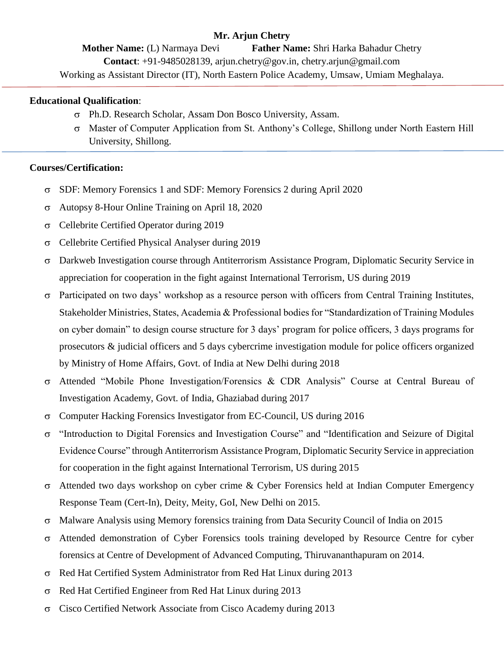# **Mr. Arjun Chetry**

**Mother Name:** (L) Narmaya Devi **Father Name:** Shri Harka Bahadur Chetry **Contact**: +91-9485028139, arjun.chetry@gov.in, chetry.arjun@gmail.com Working as Assistant Director (IT), North Eastern Police Academy, Umsaw, Umiam Meghalaya.

#### **Educational Qualification**:

- Ph.D. Research Scholar, Assam Don Bosco University, Assam.
- Master of Computer Application from St. Anthony's College, Shillong under North Eastern Hill University, Shillong.

#### **Courses/Certification:**

- SDF: Memory Forensics 1 and SDF: Memory Forensics 2 during April 2020
- Autopsy 8-Hour Online Training on April 18, 2020
- Cellebrite Certified Operator during 2019
- $\sigma$  Cellebrite Certified Physical Analyser during 2019
- Darkweb Investigation course through Antiterrorism Assistance Program, Diplomatic Security Service in appreciation for cooperation in the fight against International Terrorism, US during 2019
- $\sigma$  Participated on two days' workshop as a resource person with officers from Central Training Institutes, Stakeholder Ministries, States, Academia & Professional bodies for "Standardization of Training Modules on cyber domain" to design course structure for 3 days' program for police officers, 3 days programs for prosecutors & judicial officers and 5 days cybercrime investigation module for police officers organized by Ministry of Home Affairs, Govt. of India at New Delhi during 2018
- Attended "Mobile Phone Investigation/Forensics & CDR Analysis" Course at Central Bureau of Investigation Academy, Govt. of India, Ghaziabad during 2017
- $\sigma$  Computer Hacking Forensics Investigator from EC-Council, US during 2016
- "Introduction to Digital Forensics and Investigation Course" and "Identification and Seizure of Digital Evidence Course" through Antiterrorism Assistance Program, Diplomatic Security Service in appreciation for cooperation in the fight against International Terrorism, US during 2015
- Attended two days workshop on cyber crime & Cyber Forensics held at Indian Computer Emergency Response Team (Cert-In), Deity, Meity, GoI, New Delhi on 2015.
- $\sigma$  Malware Analysis using Memory forensics training from Data Security Council of India on 2015
- $\sigma$  Attended demonstration of Cyber Forensics tools training developed by Resource Centre for cyber forensics at Centre of Development of Advanced Computing, Thiruvananthapuram on 2014.
- $\sigma$  Red Hat Certified System Administrator from Red Hat Linux during 2013
- $\sigma$  Red Hat Certified Engineer from Red Hat Linux during 2013
- Cisco Certified Network Associate from Cisco Academy during 2013